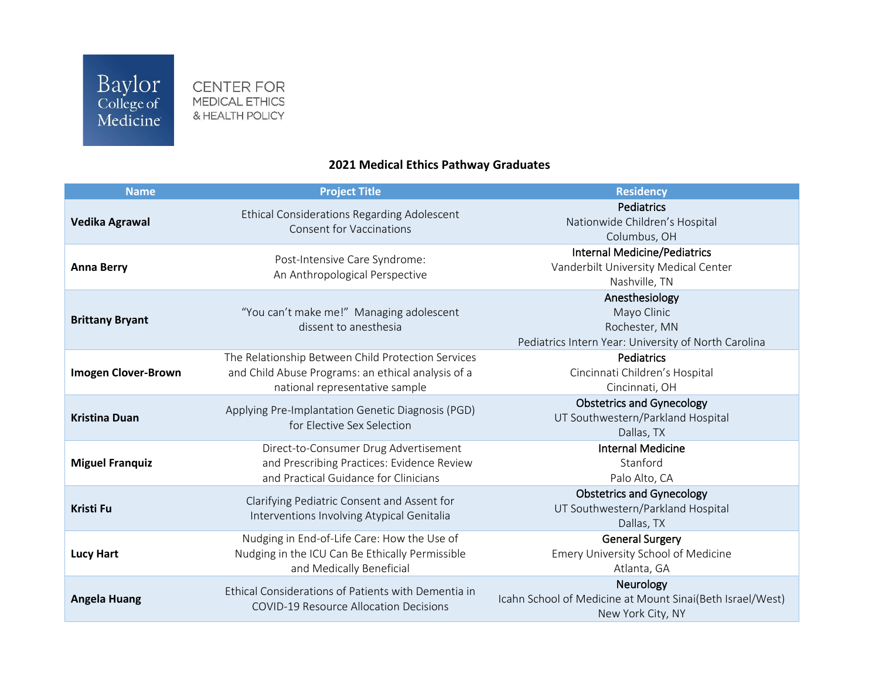CENTER FOR MEDICAL ETHICS & HEALTH POLICY

## **2021 Medical Ethics Pathway Graduates**

| <b>Name</b>                | <b>Project Title</b>                                                                                                                       | <b>Residency</b>                                                                                       |
|----------------------------|--------------------------------------------------------------------------------------------------------------------------------------------|--------------------------------------------------------------------------------------------------------|
| <b>Vedika Agrawal</b>      | Ethical Considerations Regarding Adolescent<br><b>Consent for Vaccinations</b>                                                             | Pediatrics<br>Nationwide Children's Hospital<br>Columbus, OH                                           |
| <b>Anna Berry</b>          | Post-Intensive Care Syndrome:<br>An Anthropological Perspective                                                                            | <b>Internal Medicine/Pediatrics</b><br>Vanderbilt University Medical Center<br>Nashville, TN           |
| <b>Brittany Bryant</b>     | "You can't make me!" Managing adolescent<br>dissent to anesthesia                                                                          | Anesthesiology<br>Mayo Clinic<br>Rochester, MN<br>Pediatrics Intern Year: University of North Carolina |
| <b>Imogen Clover-Brown</b> | The Relationship Between Child Protection Services<br>and Child Abuse Programs: an ethical analysis of a<br>national representative sample | Pediatrics<br>Cincinnati Children's Hospital<br>Cincinnati, OH                                         |
| <b>Kristina Duan</b>       | Applying Pre-Implantation Genetic Diagnosis (PGD)<br>for Elective Sex Selection                                                            | <b>Obstetrics and Gynecology</b><br>UT Southwestern/Parkland Hospital<br>Dallas, TX                    |
| <b>Miguel Franquiz</b>     | Direct-to-Consumer Drug Advertisement<br>and Prescribing Practices: Evidence Review<br>and Practical Guidance for Clinicians               | <b>Internal Medicine</b><br>Stanford<br>Palo Alto, CA                                                  |
| <b>Kristi Fu</b>           | Clarifying Pediatric Consent and Assent for<br>Interventions Involving Atypical Genitalia                                                  | <b>Obstetrics and Gynecology</b><br>UT Southwestern/Parkland Hospital<br>Dallas, TX                    |
| <b>Lucy Hart</b>           | Nudging in End-of-Life Care: How the Use of<br>Nudging in the ICU Can Be Ethically Permissible<br>and Medically Beneficial                 | <b>General Surgery</b><br>Emery University School of Medicine<br>Atlanta, GA                           |
| <b>Angela Huang</b>        | Ethical Considerations of Patients with Dementia in<br><b>COVID-19 Resource Allocation Decisions</b>                                       | Neurology<br>Icahn School of Medicine at Mount Sinai(Beth Israel/West)<br>New York City, NY            |